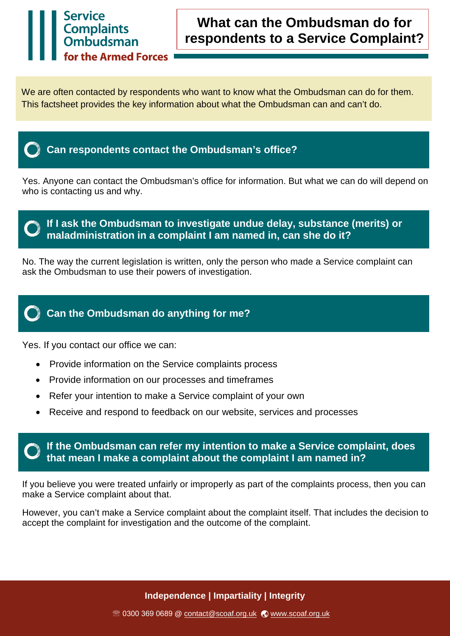## **What can the Ombudsman do for respondents to a Service Complaint?**

We are often contacted by respondents who want to know what the Ombudsman can do for them. This factsheet provides the key information about what the Ombudsman can and can't do.



**Service** 

Complaints<br>Ombudsman

the Armed Forces

### **Can respondents contact the Ombudsman's office?**

Yes. Anyone can contact the Ombudsman's office for information. But what we can do will depend on who is contacting us and why.



No. The way the current legislation is written, only the person who made a Service complaint can ask the Ombudsman to use their powers of investigation.



Yes. If you contact our office we can:

- Provide information on the Service complaints process
- Provide information on our processes and timeframes
- Refer your intention to make a Service complaint of your own
- Receive and respond to feedback on our website, services and processes

#### **If the Ombudsman can refer my intention to make a Service complaint, does that mean I make a complaint about the complaint I am named in?**

If you believe you were treated unfairly or improperly as part of the complaints process, then you can make a Service complaint about that.

However, you can't make a Service complaint about the complaint itself. That includes the decision to accept the complaint for investigation and the outcome of the complaint.

**Independence | Impartiality | Integrity**